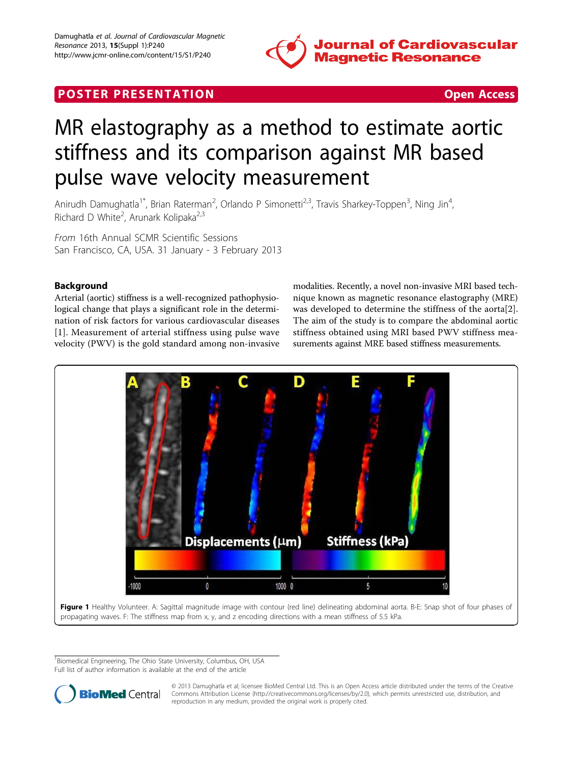

# <span id="page-0-0"></span>**POSTER PRESENTATION CONSUMING ACCESS**



# MR elastography as a method to estimate aortic stiffness and its comparison against MR based pulse wave velocity measurement

Anirudh Damughatla<sup>1\*</sup>, Brian Raterman<sup>2</sup>, Orlando P Simonetti<sup>2,3</sup>, Travis Sharkey-Toppen<sup>3</sup>, Ning Jin<sup>4</sup> , Richard D White<sup>2</sup>, Arunark Kolipaka<sup>2,3</sup>

From 16th Annual SCMR Scientific Sessions San Francisco, CA, USA. 31 January - 3 February 2013

# Background

Arterial (aortic) stiffness is a well-recognized pathophysiological change that plays a significant role in the determination of risk factors for various cardiovascular diseases [[1](#page-1-0)]. Measurement of arterial stiffness using pulse wave velocity (PWV) is the gold standard among non-invasive modalities. Recently, a novel non-invasive MRI based technique known as magnetic resonance elastography (MRE) was developed to determine the stiffness of the aorta[[2](#page-1-0)]. The aim of the study is to compare the abdominal aortic stiffness obtained using MRI based PWV stiffness measurements against MRE based stiffness measurements.



Figure 1 Healthy Volunteer. A: Sagittal magnitude image with contour (red line) delineating abdominal aorta. B-E: Snap shot of four phases of propagating waves. F: The stiffness map from x, y, and z encoding directions with a mean stiffness of 5.5 kPa.

<sup>1</sup>Biomedical Engineering, The Ohio State University, Columbus, OH, USA Full list of author information is available at the end of the article



© 2013 Damughatla et al; licensee BioMed Central Ltd. This is an Open Access article distributed under the terms of the Creative Commons Attribution License [\(http://creativecommons.org/licenses/by/2.0](http://creativecommons.org/licenses/by/2.0)), which permits unrestricted use, distribution, and reproduction in any medium, provided the original work is properly cited.